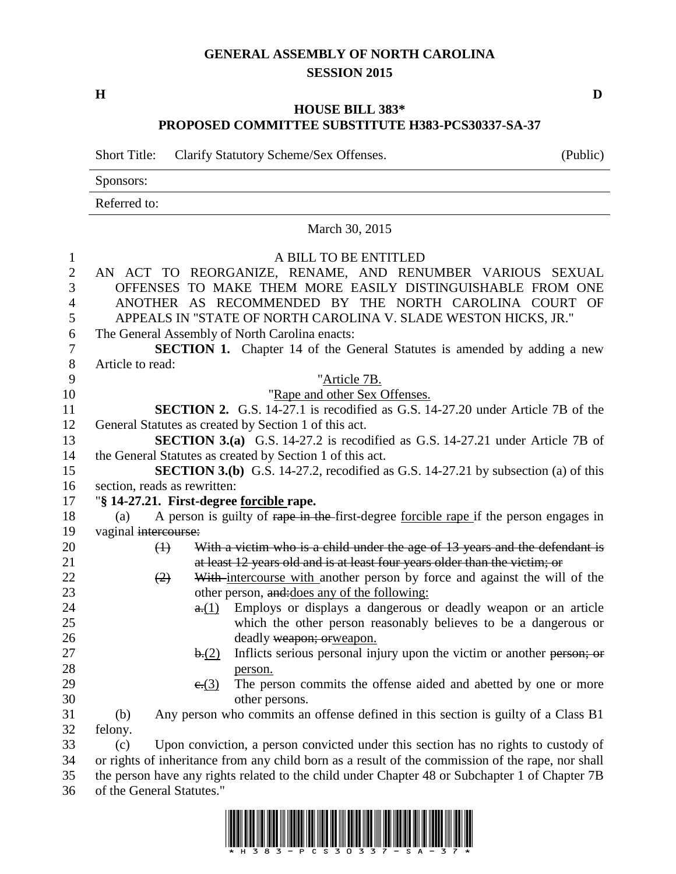## **GENERAL ASSEMBLY OF NORTH CAROLINA SESSION 2015**

**H D**

## **HOUSE BILL 383\* PROPOSED COMMITTEE SUBSTITUTE H383-PCS30337-SA-37**

Short Title: Clarify Statutory Scheme/Sex Offenses. (Public)

Sponsors: Referred to: March 30, 2015 A BILL TO BE ENTITLED AN ACT TO REORGANIZE, RENAME, AND RENUMBER VARIOUS SEXUAL OFFENSES TO MAKE THEM MORE EASILY DISTINGUISHABLE FROM ONE ANOTHER AS RECOMMENDED BY THE NORTH CAROLINA COURT OF APPEALS IN "STATE OF NORTH CAROLINA V. SLADE WESTON HICKS, JR." The General Assembly of North Carolina enacts: **SECTION 1.** Chapter 14 of the General Statutes is amended by adding a new Article to read: "Article 7B. 10 "Rape and other Sex Offenses. **SECTION 2.** G.S. 14-27.1 is recodified as G.S. 14-27.20 under Article 7B of the General Statutes as created by Section 1 of this act. **SECTION 3.(a)** G.S. 14-27.2 is recodified as G.S. 14-27.21 under Article 7B of the General Statutes as created by Section 1 of this act. **SECTION 3.(b)** G.S. 14-27.2, recodified as G.S. 14-27.21 by subsection (a) of this section, reads as rewritten: "**§ 14-27.21. First-degree forcible rape.** (a) A person is guilty of rape in the first-degree forcible rape if the person engages in 19 vaginal intercourse: 20 (1) With a victim who is a child under the age of 13 years and the defendant is at least 12 years old and is at least four years older than the victim; or  $(2)$  With intercourse with another person by force and against the will of the 23 other person, and: does any of the following: **a.**(1) Employs or displays a dangerous or deadly weapon or an article which the other person reasonably believes to be a dangerous or deadly weapon; orweapon. 27 b.(2) Inflicts serious personal injury upon the victim or another person; or person.  $e:(3)$  The person commits the offense aided and abetted by one or more other persons. (b) Any person who commits an offense defined in this section is guilty of a Class B1 felony. (c) Upon conviction, a person convicted under this section has no rights to custody of or rights of inheritance from any child born as a result of the commission of the rape, nor shall the person have any rights related to the child under Chapter 48 or Subchapter 1 of Chapter 7B of the General Statutes."

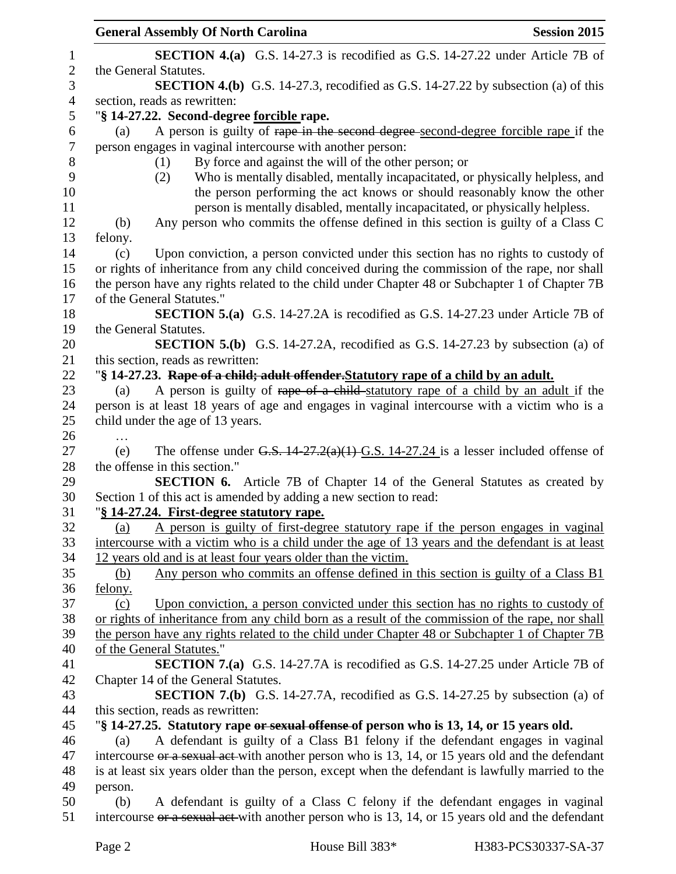|                | <b>General Assembly Of North Carolina</b><br><b>Session 2015</b>                                           |
|----------------|------------------------------------------------------------------------------------------------------------|
| $\mathbf{1}$   | <b>SECTION 4.(a)</b> G.S. 14-27.3 is recodified as G.S. 14-27.22 under Article 7B of                       |
| $\sqrt{2}$     | the General Statutes.                                                                                      |
| 3              | <b>SECTION 4.(b)</b> G.S. 14-27.3, recodified as G.S. 14-27.22 by subsection (a) of this                   |
| $\overline{4}$ | section, reads as rewritten:                                                                               |
| 5              | "§ 14-27.22. Second-degree forcible rape.                                                                  |
| 6              | A person is guilty of rape in the second degree-second-degree forcible rape if the<br>(a)                  |
| 7              | person engages in vaginal intercourse with another person:                                                 |
| 8              | By force and against the will of the other person; or<br>(1)                                               |
| 9              | Who is mentally disabled, mentally incapacitated, or physically helpless, and<br>(2)                       |
| 10             | the person performing the act knows or should reasonably know the other                                    |
| 11             | person is mentally disabled, mentally incapacitated, or physically helpless.                               |
| 12             | Any person who commits the offense defined in this section is guilty of a Class C<br>(b)                   |
| 13             | felony.                                                                                                    |
| 14             | Upon conviction, a person convicted under this section has no rights to custody of<br>(c)                  |
| 15             | or rights of inheritance from any child conceived during the commission of the rape, nor shall             |
| 16             | the person have any rights related to the child under Chapter 48 or Subchapter 1 of Chapter 7B             |
| 17             | of the General Statutes."                                                                                  |
| 18             | <b>SECTION 5.(a)</b> G.S. 14-27.2A is recodified as G.S. 14-27.23 under Article 7B of                      |
| 19             | the General Statutes.                                                                                      |
| 20             | <b>SECTION 5.(b)</b> G.S. 14-27.2A, recodified as G.S. 14-27.23 by subsection (a) of                       |
| 21             | this section, reads as rewritten:                                                                          |
| 22             | "§ 14-27.23. Rape of a child; adult offender. Statutory rape of a child by an adult.                       |
| 23             | A person is guilty of rape of a child-statutory rape of a child by an adult if the<br>(a)                  |
| 24<br>25       | person is at least 18 years of age and engages in vaginal intercourse with a victim who is a               |
| 26             | child under the age of 13 years.                                                                           |
| 27             | $\ddotsc$<br>The offense under G.S. $14-27.2(a)(1)$ G.S. $14-27.24$ is a lesser included offense of<br>(e) |
| 28             | the offense in this section."                                                                              |
| 29             | SECTION 6. Article 7B of Chapter 14 of the General Statutes as created by                                  |
| 30             | Section 1 of this act is amended by adding a new section to read:                                          |
| 31             | "§ 14-27.24. First-degree statutory rape.                                                                  |
| 32             | A person is guilty of first-degree statutory rape if the person engages in vaginal<br>(a)                  |
| 33             | intercourse with a victim who is a child under the age of 13 years and the defendant is at least           |
| 34             | 12 years old and is at least four years older than the victim.                                             |
| 35             | Any person who commits an offense defined in this section is guilty of a Class B1<br><u>(b)</u>            |
| 36             | felony.                                                                                                    |
| 37             | Upon conviction, a person convicted under this section has no rights to custody of<br>(c)                  |
| 38             | or rights of inheritance from any child born as a result of the commission of the rape, nor shall          |
| 39             | the person have any rights related to the child under Chapter 48 or Subchapter 1 of Chapter 7B             |
| 40             | of the General Statutes."                                                                                  |
| 41             | <b>SECTION 7.(a)</b> G.S. 14-27.7A is recodified as G.S. 14-27.25 under Article 7B of                      |
| 42             | Chapter 14 of the General Statutes.                                                                        |
| 43             | <b>SECTION 7.(b)</b> G.S. 14-27.7A, recodified as G.S. 14-27.25 by subsection (a) of                       |
| 44             | this section, reads as rewritten:                                                                          |
| 45             | "§ 14-27.25. Statutory rape or sexual offense of person who is 13, 14, or 15 years old.                    |
| 46             | A defendant is guilty of a Class B1 felony if the defendant engages in vaginal<br>(a)                      |
| 47             | intercourse or a sexual act-with another person who is 13, 14, or 15 years old and the defendant           |
| 48             | is at least six years older than the person, except when the defendant is lawfully married to the          |
| 49             | person.                                                                                                    |
| 50             | A defendant is guilty of a Class C felony if the defendant engages in vaginal<br>(b)                       |
| 51             | intercourse or a sexual act-with another person who is 13, 14, or 15 years old and the defendant           |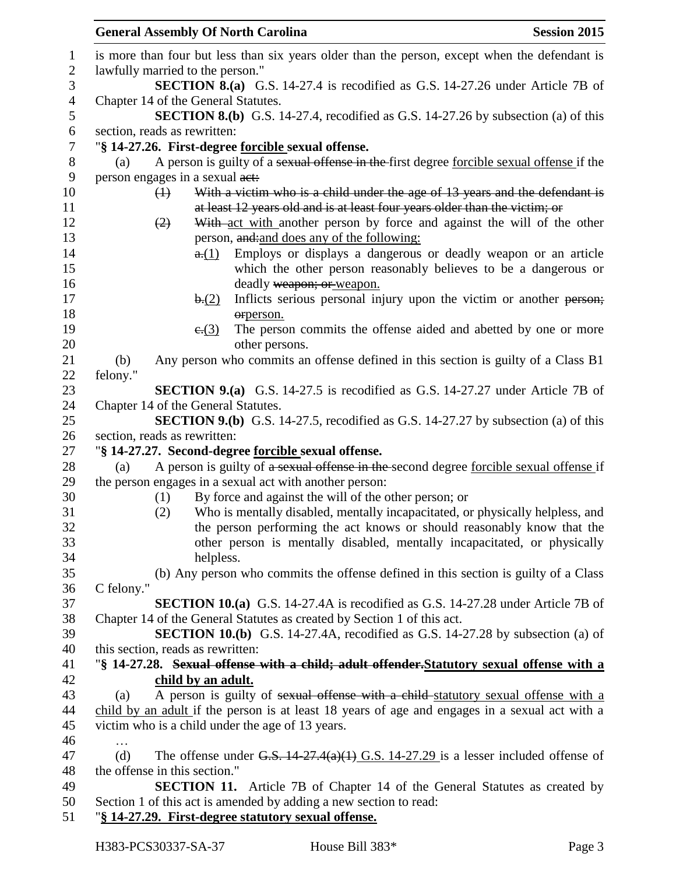|                               | <b>General Assembly Of North Carolina</b><br><b>Session 2015</b>                                                                |
|-------------------------------|---------------------------------------------------------------------------------------------------------------------------------|
|                               | is more than four but less than six years older than the person, except when the defendant is                                   |
|                               | lawfully married to the person."                                                                                                |
|                               | <b>SECTION 8.(a)</b> G.S. 14-27.4 is recodified as G.S. 14-27.26 under Article 7B of                                            |
|                               | Chapter 14 of the General Statutes.                                                                                             |
|                               | <b>SECTION 8.(b)</b> G.S. 14-27.4, recodified as G.S. 14-27.26 by subsection (a) of this                                        |
| section, reads as rewritten:  |                                                                                                                                 |
|                               | "§ 14-27.26. First-degree <u>forcible</u> sexual offense.                                                                       |
| (a)                           | A person is guilty of a sexual offense in the first degree forcible sexual offense if the                                       |
|                               | person engages in a sexual act:                                                                                                 |
| $\left(\frac{1}{2}\right)$    | With a victim who is a child under the age of 13 years and the defendant is                                                     |
|                               | at least 12 years old and is at least four years older than the victim; or                                                      |
| (2)                           | With act with another person by force and against the will of the other                                                         |
|                               | person, and: and does any of the following:                                                                                     |
|                               | Employs or displays a dangerous or deadly weapon or an article<br>a(1)                                                          |
|                               | which the other person reasonably believes to be a dangerous or                                                                 |
|                               | deadly weapon; or weapon.                                                                                                       |
|                               | Inflicts serious personal injury upon the victim or another person;<br>b(2)                                                     |
|                               | orperson.                                                                                                                       |
|                               | The person commits the offense aided and abetted by one or more<br>e(3)                                                         |
|                               | other persons.                                                                                                                  |
| (b)                           | Any person who commits an offense defined in this section is guilty of a Class B1                                               |
| felony."                      |                                                                                                                                 |
|                               | <b>SECTION 9.(a)</b> G.S. 14-27.5 is recodified as G.S. 14-27.27 under Article 7B of                                            |
|                               | Chapter 14 of the General Statutes.<br><b>SECTION 9.(b)</b> G.S. 14-27.5, recodified as G.S. 14-27.27 by subsection (a) of this |
| section, reads as rewritten:  |                                                                                                                                 |
|                               | "§ 14-27.27. Second-degree forcible sexual offense.                                                                             |
| (a)                           | A person is guilty of a sexual offense in the second degree forcible sexual offense if                                          |
|                               | the person engages in a sexual act with another person:                                                                         |
| (1)                           | By force and against the will of the other person; or                                                                           |
| (2)                           | Who is mentally disabled, mentally incapacitated, or physically helpless, and                                                   |
|                               | the person performing the act knows or should reasonably know that the                                                          |
|                               | other person is mentally disabled, mentally incapacitated, or physically                                                        |
|                               | helpless.                                                                                                                       |
|                               | (b) Any person who commits the offense defined in this section is guilty of a Class                                             |
| C felony."                    |                                                                                                                                 |
|                               | <b>SECTION 10.(a)</b> G.S. 14-27.4A is recodified as G.S. 14-27.28 under Article 7B of                                          |
|                               | Chapter 14 of the General Statutes as created by Section 1 of this act.                                                         |
|                               | <b>SECTION 10.(b)</b> G.S. 14-27.4A, recodified as G.S. 14-27.28 by subsection (a) of                                           |
|                               | this section, reads as rewritten:                                                                                               |
|                               | "§ 14-27.28. Sexual offense with a child; adult offender. Statutory sexual offense with a                                       |
|                               | child by an adult.                                                                                                              |
| (a)                           | A person is guilty of sexual offense with a child-statutory sexual offense with a                                               |
|                               | child by an adult if the person is at least 18 years of age and engages in a sexual act with a                                  |
|                               | victim who is a child under the age of 13 years.                                                                                |
| $\cdots$                      |                                                                                                                                 |
| (d)                           | The offense under G.S. $14-27.4(a)(1)$ G.S. $14-27.29$ is a lesser included offense of                                          |
| the offense in this section." |                                                                                                                                 |
|                               | <b>SECTION 11.</b> Article 7B of Chapter 14 of the General Statutes as created by                                               |
|                               | Section 1 of this act is amended by adding a new section to read:                                                               |
|                               | "§ 14-27.29. First-degree statutory sexual offense.                                                                             |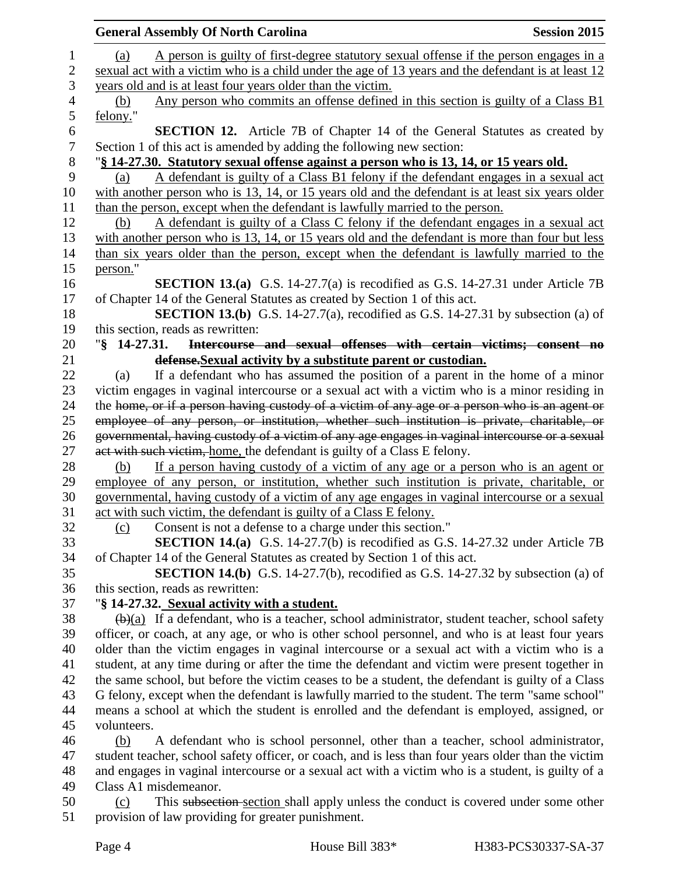|                  | <b>General Assembly Of North Carolina</b>                                                                         | <b>Session 2015</b> |
|------------------|-------------------------------------------------------------------------------------------------------------------|---------------------|
| $\mathbf{1}$     | A person is guilty of first-degree statutory sexual offense if the person engages in a<br>(a)                     |                     |
| $\mathbf{2}$     | sexual act with a victim who is a child under the age of 13 years and the defendant is at least 12                |                     |
| 3                | years old and is at least four years older than the victim.                                                       |                     |
| 4                | Any person who commits an offense defined in this section is guilty of a Class B1<br>(b)                          |                     |
| 5                | felony."                                                                                                          |                     |
| 6                | <b>SECTION 12.</b> Article 7B of Chapter 14 of the General Statutes as created by                                 |                     |
| $\boldsymbol{7}$ | Section 1 of this act is amended by adding the following new section:                                             |                     |
| 8                | "§ 14-27.30. Statutory sexual offense against a person who is 13, 14, or 15 years old.                            |                     |
| 9                | A defendant is guilty of a Class B1 felony if the defendant engages in a sexual act<br>(a)                        |                     |
| 10               | with another person who is 13, 14, or 15 years old and the defendant is at least six years older                  |                     |
| 11               | than the person, except when the defendant is lawfully married to the person.                                     |                     |
| 12               | A defendant is guilty of a Class C felony if the defendant engages in a sexual act<br>(b)                         |                     |
| 13               | with another person who is 13, 14, or 15 years old and the defendant is more than four but less                   |                     |
| 14               | than six years older than the person, except when the defendant is lawfully married to the                        |                     |
| 15               | person."                                                                                                          |                     |
| 16               | <b>SECTION 13.(a)</b> G.S. 14-27.7(a) is recodified as G.S. 14-27.31 under Article 7B                             |                     |
| 17               | of Chapter 14 of the General Statutes as created by Section 1 of this act.                                        |                     |
| 18               | SECTION 13.(b) G.S. 14-27.7(a), recodified as G.S. 14-27.31 by subsection (a) of                                  |                     |
| 19               | this section, reads as rewritten:                                                                                 |                     |
| 20               | Intercourse and sexual offenses with certain victims; consent no<br>$\sqrt{8}$ 14-27.31.                          |                     |
| 21               | defense. Sexual activity by a substitute parent or custodian.                                                     |                     |
| 22               | If a defendant who has assumed the position of a parent in the home of a minor<br>(a)                             |                     |
| 23               | victim engages in vaginal intercourse or a sexual act with a victim who is a minor residing in                    |                     |
| 24               | the home, or if a person having custody of a victim of any age or a person who is an agent or                     |                     |
| 25               | employee of any person, or institution, whether such institution is private, charitable, or                       |                     |
| 26               | governmental, having custody of a victim of any age engages in vaginal intercourse or a sexual                    |                     |
| 27               | act with such victim, home, the defendant is guilty of a Class E felony.                                          |                     |
| 28               | If a person having custody of a victim of any age or a person who is an agent or<br>(b)                           |                     |
| 29               | employee of any person, or institution, whether such institution is private, charitable, or                       |                     |
| 30               | governmental, having custody of a victim of any age engages in vaginal intercourse or a sexual                    |                     |
| 31               | act with such victim, the defendant is guilty of a Class E felony.                                                |                     |
| 32               | Consent is not a defense to a charge under this section."<br>(c)                                                  |                     |
| 33               | <b>SECTION 14.(a)</b> G.S. 14-27.7(b) is recodified as G.S. 14-27.32 under Article 7B                             |                     |
| 34               | of Chapter 14 of the General Statutes as created by Section 1 of this act.                                        |                     |
| 35               | <b>SECTION 14.(b)</b> G.S. 14-27.7(b), recodified as G.S. 14-27.32 by subsection (a) of                           |                     |
| 36               | this section, reads as rewritten:                                                                                 |                     |
| 37               | "§ 14-27.32. Sexual activity with a student.                                                                      |                     |
| 38               | $\left(\frac{b}{a}\right)$ If a defendant, who is a teacher, school administrator, student teacher, school safety |                     |
| 39               | officer, or coach, at any age, or who is other school personnel, and who is at least four years                   |                     |
| 40               | older than the victim engages in vaginal intercourse or a sexual act with a victim who is a                       |                     |
| 41               | student, at any time during or after the time the defendant and victim were present together in                   |                     |
| 42               | the same school, but before the victim ceases to be a student, the defendant is guilty of a Class                 |                     |
| 43               | G felony, except when the defendant is lawfully married to the student. The term "same school"                    |                     |
| 44               | means a school at which the student is enrolled and the defendant is employed, assigned, or                       |                     |
| 45               | volunteers.                                                                                                       |                     |
| 46               | A defendant who is school personnel, other than a teacher, school administrator,<br>(b)                           |                     |
| 47               | student teacher, school safety officer, or coach, and is less than four years older than the victim               |                     |
| 48               | and engages in vaginal intercourse or a sexual act with a victim who is a student, is guilty of a                 |                     |
| 49               | Class A1 misdemeanor.                                                                                             |                     |
| 50               | This subsection section shall apply unless the conduct is covered under some other<br>(c)                         |                     |
| 51               | provision of law providing for greater punishment.                                                                |                     |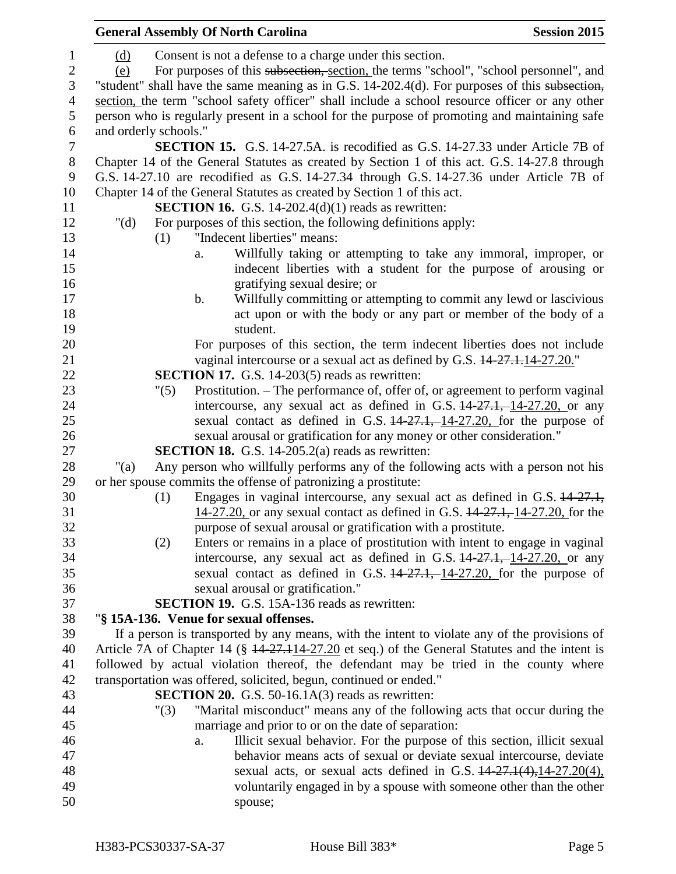|                  | <b>General Assembly Of North Carolina</b>                                                                                                              | <b>Session 2015</b> |
|------------------|--------------------------------------------------------------------------------------------------------------------------------------------------------|---------------------|
| 1                | Consent is not a defense to a charge under this section.<br>(d)                                                                                        |                     |
| $\boldsymbol{2}$ | For purposes of this subsection, section, the terms "school", "school personnel", and<br>(e)                                                           |                     |
| 3                | "student" shall have the same meaning as in G.S. 14-202.4(d). For purposes of this subsection,                                                         |                     |
| $\overline{4}$   | section, the term "school safety officer" shall include a school resource officer or any other                                                         |                     |
| 5                | person who is regularly present in a school for the purpose of promoting and maintaining safe                                                          |                     |
| 6                | and orderly schools."                                                                                                                                  |                     |
| $\tau$           | <b>SECTION 15.</b> G.S. 14-27.5A. is recodified as G.S. 14-27.33 under Article 7B of                                                                   |                     |
| $\,8\,$          | Chapter 14 of the General Statutes as created by Section 1 of this act. G.S. 14-27.8 through                                                           |                     |
| 9                | G.S. 14-27.10 are recodified as G.S. 14-27.34 through G.S. 14-27.36 under Article 7B of                                                                |                     |
| 10               | Chapter 14 of the General Statutes as created by Section 1 of this act.                                                                                |                     |
| 11               | <b>SECTION 16.</b> G.S. 14-202.4(d)(1) reads as rewritten:                                                                                             |                     |
| 12               | " $(d)$<br>For purposes of this section, the following definitions apply:                                                                              |                     |
| 13               | "Indecent liberties" means:<br>(1)                                                                                                                     |                     |
| 14               | Willfully taking or attempting to take any immoral, improper, or<br>a.                                                                                 |                     |
| 15               | indecent liberties with a student for the purpose of arousing or                                                                                       |                     |
| 16               | gratifying sexual desire; or                                                                                                                           |                     |
| 17               | Willfully committing or attempting to commit any lewd or lascivious<br>$\mathbf b$ .                                                                   |                     |
| 18               | act upon or with the body or any part or member of the body of a                                                                                       |                     |
| 19               | student.                                                                                                                                               |                     |
| 20               | For purposes of this section, the term indecent liberties does not include                                                                             |                     |
| 21               | vaginal intercourse or a sexual act as defined by G.S. $14-27.1.14-27.20$ .                                                                            |                     |
| 22               | <b>SECTION 17.</b> G.S. 14-203(5) reads as rewritten:                                                                                                  |                     |
| 23               | Prostitution. – The performance of, offer of, or agreement to perform vaginal<br>"(5)                                                                  |                     |
| 24               | intercourse, any sexual act as defined in G.S. $14-27.1$ , $14-27.20$ , or any                                                                         |                     |
| 25               | sexual contact as defined in G.S. $14-27.1$ , $14-27.20$ , for the purpose of                                                                          |                     |
| 26               | sexual arousal or gratification for any money or other consideration."                                                                                 |                     |
| 27               | <b>SECTION 18.</b> G.S. 14-205.2(a) reads as rewritten:                                                                                                |                     |
| 28               | Any person who willfully performs any of the following acts with a person not his<br>" $(a)$                                                           |                     |
| 29               | or her spouse commits the offense of patronizing a prostitute:                                                                                         |                     |
| 30               | Engages in vaginal intercourse, any sexual act as defined in G.S. 14-27.1,<br>(1)                                                                      |                     |
| 31               | 14-27.20, or any sexual contact as defined in G.S. 14-27.1, 14-27.20, for the                                                                          |                     |
| 32               | purpose of sexual arousal or gratification with a prostitute.                                                                                          |                     |
| 33               | Enters or remains in a place of prostitution with intent to engage in vaginal<br>(2)                                                                   |                     |
| 34               | intercourse, any sexual act as defined in G.S. $14-27.1$ , 14-27.20, or any                                                                            |                     |
| 35               | sexual contact as defined in G.S. $14-27.1, -14-27.20$ , for the purpose of                                                                            |                     |
| 36               | sexual arousal or gratification."                                                                                                                      |                     |
| 37               | <b>SECTION 19.</b> G.S. 15A-136 reads as rewritten:                                                                                                    |                     |
| 38               | "§ 15A-136. Venue for sexual offenses.                                                                                                                 |                     |
| 39               | If a person is transported by any means, with the intent to violate any of the provisions of                                                           |                     |
| 40               | Article 7A of Chapter 14 ( $\frac{14.27.114-27.20}{14.27.114-27.20}$ et seq.) of the General Statutes and the intent is                                |                     |
| 41               | followed by actual violation thereof, the defendant may be tried in the county where                                                                   |                     |
| 42               | transportation was offered, solicited, begun, continued or ended."                                                                                     |                     |
| 43               | <b>SECTION 20.</b> G.S. $50-16.1A(3)$ reads as rewritten:                                                                                              |                     |
| 44               | "Marital misconduct" means any of the following acts that occur during the<br>"(3)                                                                     |                     |
| 45               | marriage and prior to or on the date of separation:                                                                                                    |                     |
| 46<br>47         | Illicit sexual behavior. For the purpose of this section, illicit sexual<br>a.<br>behavior means acts of sexual or deviate sexual intercourse, deviate |                     |
| 48               | sexual acts, or sexual acts defined in G.S. $14-27.1(4)$ , $14-27.20(4)$ ,                                                                             |                     |
| 49               | voluntarily engaged in by a spouse with someone other than the other                                                                                   |                     |
| 50               | spouse;                                                                                                                                                |                     |
|                  |                                                                                                                                                        |                     |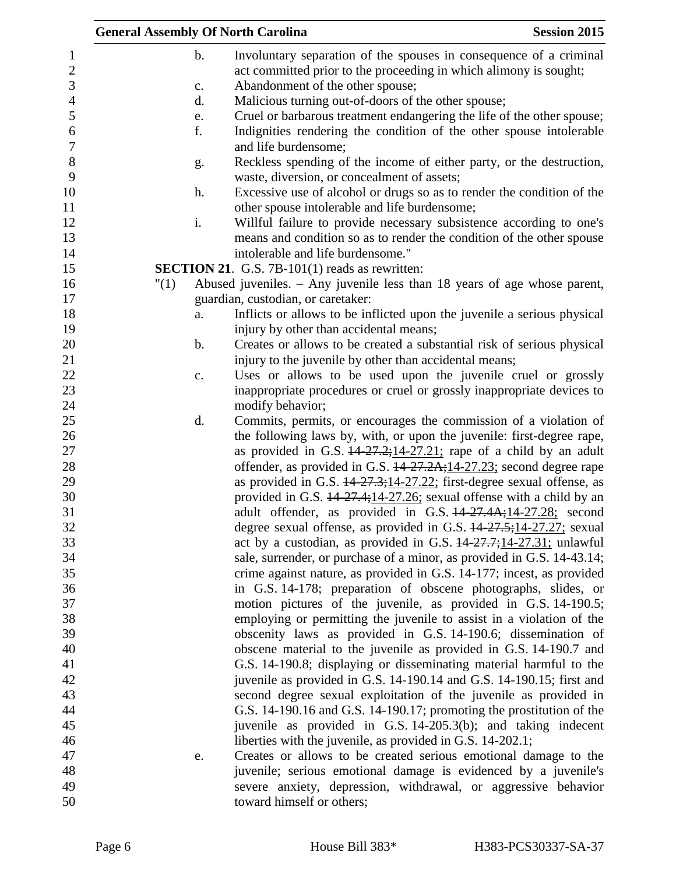| <b>General Assembly Of North Carolina</b> |                                                                                                                         | <b>Session 2015</b> |
|-------------------------------------------|-------------------------------------------------------------------------------------------------------------------------|---------------------|
| $\mathbf b$ .                             | Involuntary separation of the spouses in consequence of a criminal                                                      |                     |
|                                           | act committed prior to the proceeding in which alimony is sought;                                                       |                     |
| $\mathbf{c}$ .                            | Abandonment of the other spouse;                                                                                        |                     |
| d.                                        | Malicious turning out-of-doors of the other spouse;                                                                     |                     |
| e.                                        | Cruel or barbarous treatment endangering the life of the other spouse;                                                  |                     |
| f.                                        | Indignities rendering the condition of the other spouse intolerable                                                     |                     |
|                                           | and life burdensome;                                                                                                    |                     |
| g.                                        | Reckless spending of the income of either party, or the destruction,<br>waste, diversion, or concealment of assets;     |                     |
| h.                                        | Excessive use of alcohol or drugs so as to render the condition of the<br>other spouse intolerable and life burdensome; |                     |
| i.                                        | Willful failure to provide necessary subsistence according to one's                                                     |                     |
|                                           | means and condition so as to render the condition of the other spouse                                                   |                     |
|                                           | intolerable and life burdensome."                                                                                       |                     |
|                                           |                                                                                                                         |                     |
|                                           | <b>SECTION 21.</b> G.S. 7B-101(1) reads as rewritten:                                                                   |                     |
| "(1)                                      | Abused juveniles. $-$ Any juvenile less than 18 years of age whose parent,                                              |                     |
|                                           | guardian, custodian, or caretaker:                                                                                      |                     |
| a.                                        | Inflicts or allows to be inflicted upon the juvenile a serious physical                                                 |                     |
|                                           | injury by other than accidental means;                                                                                  |                     |
| $\mathbf b$ .                             | Creates or allows to be created a substantial risk of serious physical                                                  |                     |
|                                           | injury to the juvenile by other than accidental means;                                                                  |                     |
| c.                                        | Uses or allows to be used upon the juvenile cruel or grossly                                                            |                     |
|                                           | inappropriate procedures or cruel or grossly inappropriate devices to                                                   |                     |
|                                           | modify behavior;                                                                                                        |                     |
| d.                                        | Commits, permits, or encourages the commission of a violation of                                                        |                     |
|                                           | the following laws by, with, or upon the juvenile: first-degree rape,                                                   |                     |
|                                           | as provided in G.S. $14-27.2$ ; $14-27.21$ ; rape of a child by an adult                                                |                     |
|                                           | offender, as provided in G.S. 14-27.2A; 14-27.23; second degree rape                                                    |                     |
|                                           | as provided in G.S. $14-27.3;14-27.22;$ first-degree sexual offense, as                                                 |                     |
|                                           | provided in G.S. 14-27.4;14-27.26; sexual offense with a child by an                                                    |                     |
|                                           | adult offender, as provided in G.S. 44-27.4A;14-27.28; second                                                           |                     |
|                                           | degree sexual offense, as provided in G.S. $14-27.5$ ; 14-27.27; sexual                                                 |                     |
|                                           | act by a custodian, as provided in G.S. $14-27.7$ ; $14-27.31$ ; unlawful                                               |                     |
|                                           | sale, surrender, or purchase of a minor, as provided in G.S. 14-43.14;                                                  |                     |
|                                           | crime against nature, as provided in G.S. 14-177; incest, as provided                                                   |                     |
|                                           | in G.S. 14-178; preparation of obscene photographs, slides, or                                                          |                     |
|                                           | motion pictures of the juvenile, as provided in G.S. 14-190.5;                                                          |                     |
|                                           | employing or permitting the juvenile to assist in a violation of the                                                    |                     |
|                                           | obscenity laws as provided in G.S. 14-190.6; dissemination of                                                           |                     |
|                                           | obscene material to the juvenile as provided in G.S. 14-190.7 and                                                       |                     |
|                                           | G.S. 14-190.8; displaying or disseminating material harmful to the                                                      |                     |
|                                           | juvenile as provided in G.S. 14-190.14 and G.S. 14-190.15; first and                                                    |                     |
|                                           | second degree sexual exploitation of the juvenile as provided in                                                        |                     |
|                                           | G.S. 14-190.16 and G.S. 14-190.17; promoting the prostitution of the                                                    |                     |
|                                           | juvenile as provided in G.S. 14-205.3(b); and taking indecent                                                           |                     |
|                                           | liberties with the juvenile, as provided in G.S. 14-202.1;                                                              |                     |
| e.                                        | Creates or allows to be created serious emotional damage to the                                                         |                     |
|                                           | juvenile; serious emotional damage is evidenced by a juvenile's                                                         |                     |
|                                           | severe anxiety, depression, withdrawal, or aggressive behavior                                                          |                     |
|                                           |                                                                                                                         |                     |
|                                           | toward himself or others;                                                                                               |                     |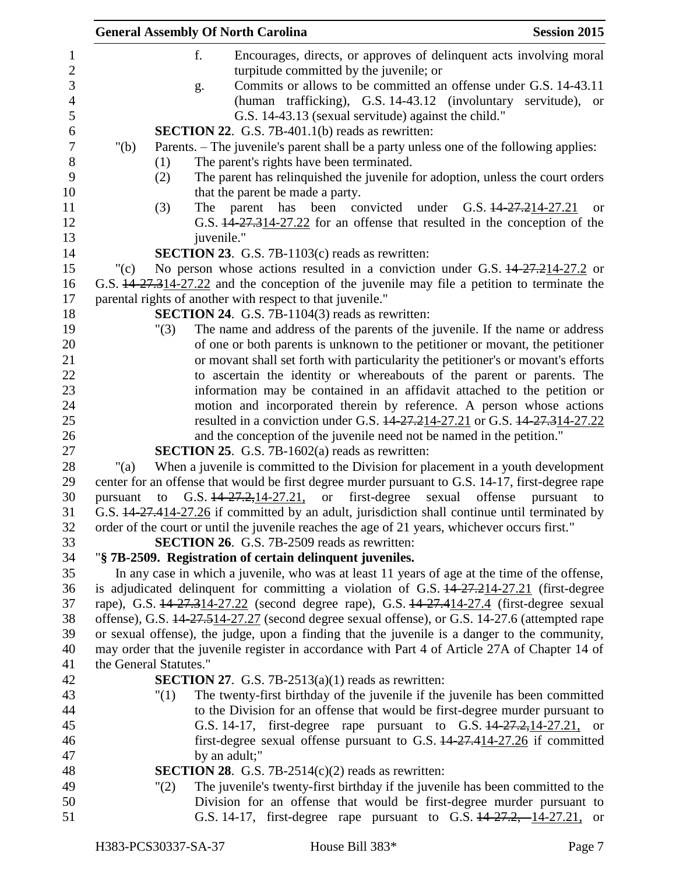| <b>General Assembly Of North Carolina</b><br><b>Session 2015</b>                                                                                                                                 |
|--------------------------------------------------------------------------------------------------------------------------------------------------------------------------------------------------|
| f.<br>Encourages, directs, or approves of delinquent acts involving moral<br>turpitude committed by the juvenile; or                                                                             |
| Commits or allows to be committed an offense under G.S. 14-43.11<br>g.<br>(human trafficking), G.S. 14-43.12 (involuntary servitude), or<br>G.S. 14-43.13 (sexual servitude) against the child." |
| <b>SECTION 22.</b> G.S. 7B-401.1(b) reads as rewritten:                                                                                                                                          |
| Parents. – The juvenile's parent shall be a party unless one of the following applies:<br>" $(b)$                                                                                                |
| The parent's rights have been terminated.<br>(1)                                                                                                                                                 |
| The parent has relinquished the juvenile for adoption, unless the court orders<br>(2)                                                                                                            |
| that the parent be made a party.                                                                                                                                                                 |
| The parent has been convicted<br>(3)<br>under G.S. 14-27.214-27.21<br><sub>or</sub>                                                                                                              |
| G.S. 14-27.314-27.22 for an offense that resulted in the conception of the                                                                                                                       |
| juvenile."                                                                                                                                                                                       |
| <b>SECTION 23.</b> G.S. 7B-1103(c) reads as rewritten:                                                                                                                                           |
| No person whose actions resulted in a conviction under G.S. 44-27.214-27.2 or<br>" $(c)$                                                                                                         |
| G.S. 44 27.314-27.22 and the conception of the juvenile may file a petition to terminate the                                                                                                     |
| parental rights of another with respect to that juvenile."                                                                                                                                       |
| <b>SECTION 24.</b> G.S. 7B-1104(3) reads as rewritten:                                                                                                                                           |
| The name and address of the parents of the juvenile. If the name or address<br>"(3)                                                                                                              |
| of one or both parents is unknown to the petitioner or movant, the petitioner<br>or movant shall set forth with particularity the petitioner's or movant's efforts                               |
| to ascertain the identity or whereabouts of the parent or parents. The                                                                                                                           |
| information may be contained in an affidavit attached to the petition or                                                                                                                         |
| motion and incorporated therein by reference. A person whose actions                                                                                                                             |
| resulted in a conviction under G.S. 14 27.214-27.21 or G.S. 14 27.314-27.22                                                                                                                      |
| and the conception of the juvenile need not be named in the petition."                                                                                                                           |
| <b>SECTION 25.</b> G.S. 7B-1602(a) reads as rewritten:                                                                                                                                           |
| When a juvenile is committed to the Division for placement in a youth development<br>"(a)                                                                                                        |
| center for an offense that would be first degree murder pursuant to G.S. 14-17, first-degree rape                                                                                                |
| G.S. $14-27.2, 14-27.21$ , or<br>first-degree<br>sexual offense<br>pursuant<br>to<br>pursuant<br>to                                                                                              |
| G.S. 44-27.414-27.26 if committed by an adult, jurisdiction shall continue until terminated by                                                                                                   |
| order of the court or until the juvenile reaches the age of 21 years, whichever occurs first."                                                                                                   |
| <b>SECTION 26.</b> G.S. 7B-2509 reads as rewritten:                                                                                                                                              |
| "§ 7B-2509. Registration of certain delinquent juveniles.                                                                                                                                        |
| In any case in which a juvenile, who was at least 11 years of age at the time of the offense,                                                                                                    |
| is adjudicated delinquent for committing a violation of G.S. 14-27.214-27.21 (first-degree                                                                                                       |
| rape), G.S. 14-27.314-27.22 (second degree rape), G.S. 14-27.414-27.4 (first-degree sexual                                                                                                       |
| offense), G.S. 14-27.514-27.27 (second degree sexual offense), or G.S. 14-27.6 (attempted rape                                                                                                   |
| or sexual offense), the judge, upon a finding that the juvenile is a danger to the community,<br>may order that the juvenile register in accordance with Part 4 of Article 27A of Chapter 14 of  |
| the General Statutes."                                                                                                                                                                           |
| <b>SECTION 27.</b> G.S. 7B-2513(a)(1) reads as rewritten:                                                                                                                                        |
| The twenty-first birthday of the juvenile if the juvenile has been committed<br>"(1)                                                                                                             |
| to the Division for an offense that would be first-degree murder pursuant to                                                                                                                     |
| G.S. 14-17, first-degree rape pursuant to G.S. 14-27.2, 14-27.21, or                                                                                                                             |
| first-degree sexual offense pursuant to G.S. 14-27.414-27.26 if committed                                                                                                                        |
| by an adult;"                                                                                                                                                                                    |
| <b>SECTION 28.</b> G.S. 7B-2514(c)(2) reads as rewritten:                                                                                                                                        |
| The juvenile's twenty-first birthday if the juvenile has been committed to the<br>"(2)                                                                                                           |
| Division for an offense that would be first-degree murder pursuant to                                                                                                                            |
| G.S. 14-17, first-degree rape pursuant to G.S. 14-27.2, 14-27.21, or                                                                                                                             |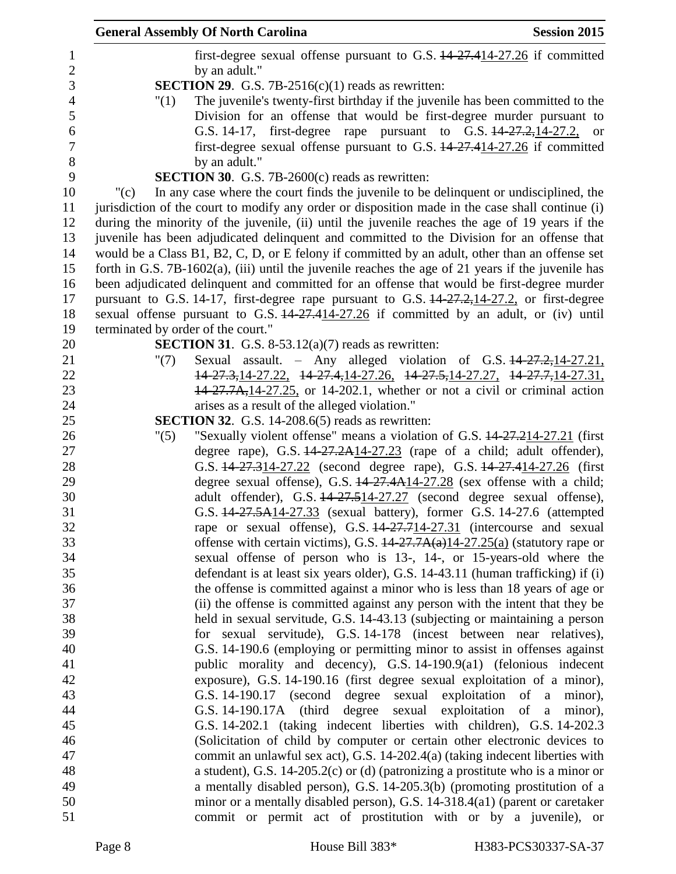|         | <b>General Assembly Of North Carolina</b>                                                                                                          | <b>Session 2015</b>       |
|---------|----------------------------------------------------------------------------------------------------------------------------------------------------|---------------------------|
|         | first-degree sexual offense pursuant to G.S. 14-27.414-27.26 if committed<br>by an adult."                                                         |                           |
|         | <b>SECTION 29.</b> G.S. 7B-2516(c)(1) reads as rewritten:                                                                                          |                           |
| "(1)    | The juvenile's twenty-first birthday if the juvenile has been committed to the                                                                     |                           |
|         | Division for an offense that would be first-degree murder pursuant to                                                                              |                           |
|         | G.S. 14-17, first-degree rape pursuant to G.S. 14-27.2, 14-27.2, or                                                                                |                           |
|         | first-degree sexual offense pursuant to G.S. 14-27.414-27.26 if committed                                                                          |                           |
|         | by an adult."                                                                                                                                      |                           |
|         | <b>SECTION 30.</b> G.S. 7B-2600 $(c)$ reads as rewritten:                                                                                          |                           |
| " $(c)$ | In any case where the court finds the juvenile to be delinquent or undisciplined, the                                                              |                           |
|         | jurisdiction of the court to modify any order or disposition made in the case shall continue (i)                                                   |                           |
|         | during the minority of the juvenile, (ii) until the juvenile reaches the age of 19 years if the                                                    |                           |
|         | juvenile has been adjudicated delinquent and committed to the Division for an offense that                                                         |                           |
|         | would be a Class B1, B2, C, D, or E felony if committed by an adult, other than an offense set                                                     |                           |
|         | forth in G.S. $7B-1602(a)$ , (iii) until the juvenile reaches the age of 21 years if the juvenile has                                              |                           |
|         | been adjudicated delinquent and committed for an offense that would be first-degree murder                                                         |                           |
|         | pursuant to G.S. 14-17, first-degree rape pursuant to G.S. $14-27.2$ , $14-27.2$ , or first-degree                                                 |                           |
|         | sexual offense pursuant to G.S. 14-27.414-27.26 if committed by an adult, or (iv) until                                                            |                           |
|         | terminated by order of the court."                                                                                                                 |                           |
|         | <b>SECTION 31.</b> G.S. 8-53.12(a)(7) reads as rewritten:                                                                                          |                           |
| " $(7)$ | Sexual assault. - Any alleged violation of G.S. $14-27.2, 14-27.21$ ,                                                                              |                           |
|         | 14-27.3, 14-27.22, 14-27.4, 14-27.26, 14-27.5, 14-27.27, 14-27.7, 14-27.31,                                                                        |                           |
|         | $14-27.7A$ , $14-27.25$ , or 14-202.1, whether or not a civil or criminal action                                                                   |                           |
|         | arises as a result of the alleged violation."                                                                                                      |                           |
|         | <b>SECTION 32.</b> G.S. 14-208.6(5) reads as rewritten:                                                                                            |                           |
| "(5)    | "Sexually violent offense" means a violation of G.S. 14-27.214-27.21 (first                                                                        |                           |
|         | degree rape), G.S. $14-27.2A14-27.23$ (rape of a child; adult offender),                                                                           |                           |
|         | G.S. 14-27.314-27.22 (second degree rape), G.S. 14-27.414-27.26 (first                                                                             |                           |
|         | degree sexual offense), G.S. $14-27.4A14-27.28$ (sex offense with a child;                                                                         |                           |
|         | adult offender), G.S. 44-27.514-27.27 (second degree sexual offense),                                                                              |                           |
|         | G.S. 44-27.5A14-27.33 (sexual battery), former G.S. 14-27.6 (attempted                                                                             |                           |
|         | rape or sexual offense), G.S. 44-27.714-27.31 (intercourse and sexual                                                                              |                           |
|         | offense with certain victims), G.S. $14-27.7A(a)14-27.25(a)$ (statutory rape or                                                                    |                           |
|         | sexual offense of person who is 13-, 14-, or 15-years-old where the                                                                                |                           |
|         | defendant is at least six years older), G.S. 14-43.11 (human trafficking) if (i)                                                                   |                           |
|         | the offense is committed against a minor who is less than 18 years of age or                                                                       |                           |
|         | (ii) the offense is committed against any person with the intent that they be                                                                      |                           |
|         | held in sexual servitude, G.S. 14-43.13 (subjecting or maintaining a person<br>for sexual servitude), G.S. 14-178 (incest between near relatives), |                           |
|         | G.S. 14-190.6 (employing or permitting minor to assist in offenses against                                                                         |                           |
|         | public morality and decency), G.S. 14-190.9(a1) (felonious indecent                                                                                |                           |
|         | exposure), G.S. 14-190.16 (first degree sexual exploitation of a minor),                                                                           |                           |
|         | G.S. 14-190.17 (second degree sexual                                                                                                               | exploitation of a minor), |
|         | G.S. 14-190.17A (third degree sexual exploitation of a minor),                                                                                     |                           |
|         | G.S. 14-202.1 (taking indecent liberties with children), G.S. 14-202.3                                                                             |                           |
|         | (Solicitation of child by computer or certain other electronic devices to                                                                          |                           |
|         | commit an unlawful sex act), G.S. 14-202.4(a) (taking indecent liberties with                                                                      |                           |
|         | a student), G.S. 14-205.2(c) or (d) (patronizing a prostitute who is a minor or                                                                    |                           |
|         | a mentally disabled person), G.S. 14-205.3(b) (promoting prostitution of a                                                                         |                           |
|         | minor or a mentally disabled person), G.S. 14-318.4(a1) (parent or caretaker                                                                       |                           |
|         | commit or permit act of prostitution with or by a juvenile), or                                                                                    |                           |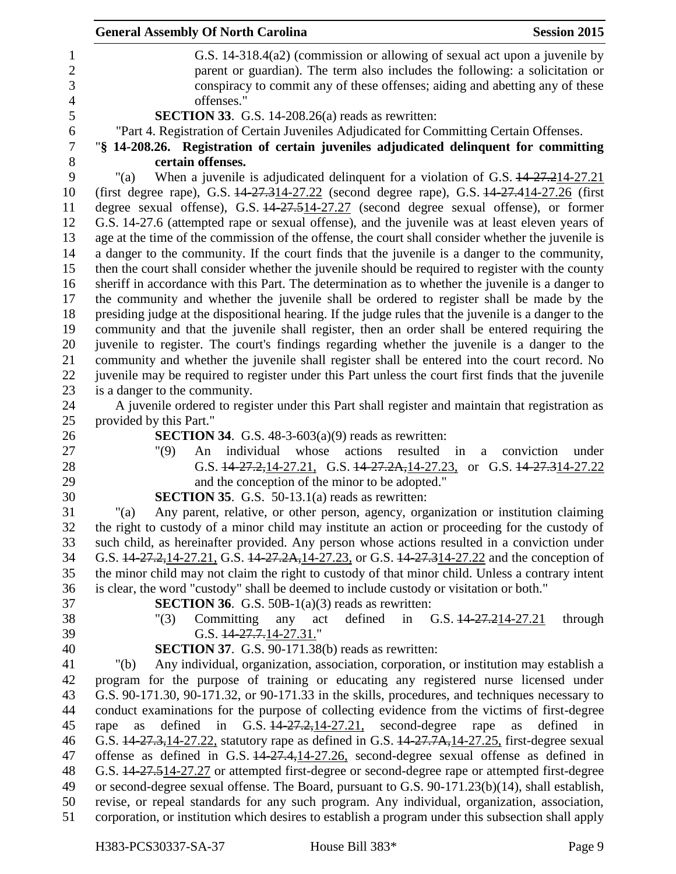| <b>General Assembly Of North Carolina</b><br><b>Session 2015</b>                                                                                                                                    |
|-----------------------------------------------------------------------------------------------------------------------------------------------------------------------------------------------------|
| G.S. 14-318.4(a2) (commission or allowing of sexual act upon a juvenile by                                                                                                                          |
| parent or guardian). The term also includes the following: a solicitation or                                                                                                                        |
| conspiracy to commit any of these offenses; aiding and abetting any of these                                                                                                                        |
| offenses."                                                                                                                                                                                          |
| SECTION 33. G.S. 14-208.26(a) reads as rewritten:                                                                                                                                                   |
| "Part 4. Registration of Certain Juveniles Adjudicated for Committing Certain Offenses.                                                                                                             |
| "§ 14-208.26. Registration of certain juveniles adjudicated delinquent for committing                                                                                                               |
| certain offenses.                                                                                                                                                                                   |
| When a juvenile is adjudicated delinquent for a violation of G.S. 44-27.214-27.21<br>"(a)                                                                                                           |
| (first degree rape), G.S. 14-27.314-27.22 (second degree rape), G.S. 14-27.414-27.26 (first                                                                                                         |
| degree sexual offense), G.S. 14-27.514-27.27 (second degree sexual offense), or former                                                                                                              |
| G.S. 14-27.6 (attempted rape or sexual offense), and the juvenile was at least eleven years of                                                                                                      |
| age at the time of the commission of the offense, the court shall consider whether the juvenile is<br>a danger to the community. If the court finds that the juvenile is a danger to the community, |
| then the court shall consider whether the juvenile should be required to register with the county                                                                                                   |
| sheriff in accordance with this Part. The determination as to whether the juvenile is a danger to                                                                                                   |
| the community and whether the juvenile shall be ordered to register shall be made by the                                                                                                            |
| presiding judge at the dispositional hearing. If the judge rules that the juvenile is a danger to the                                                                                               |
| community and that the juvenile shall register, then an order shall be entered requiring the                                                                                                        |
| juvenile to register. The court's findings regarding whether the juvenile is a danger to the                                                                                                        |
| community and whether the juvenile shall register shall be entered into the court record. No                                                                                                        |
| juvenile may be required to register under this Part unless the court first finds that the juvenile                                                                                                 |
| is a danger to the community.                                                                                                                                                                       |
| A juvenile ordered to register under this Part shall register and maintain that registration as                                                                                                     |
| provided by this Part."                                                                                                                                                                             |
| <b>SECTION 34.</b> G.S. $48-3-603(a)(9)$ reads as rewritten:                                                                                                                                        |
| individual<br>whose<br>"(9)<br>actions<br>resulted<br>conviction<br>An<br>in<br>under<br>a                                                                                                          |
| G.S. $14-27.2, 14-27.21$ , G.S. $14-27.2A, 14-27.23$ , or G.S. $14-27.314-27.22$                                                                                                                    |
| and the conception of the minor to be adopted."                                                                                                                                                     |
| <b>SECTION 35.</b> G.S. 50-13.1(a) reads as rewritten:                                                                                                                                              |
| Any parent, relative, or other person, agency, organization or institution claiming<br>" $(a)$<br>the right to custody of a minor child may institute an action or proceeding for the custody of    |
| such child, as hereinafter provided. Any person whose actions resulted in a conviction under                                                                                                        |
| G.S. 14-27.2, 14-27.21, G.S. 14-27.2A, 14-27.23, or G.S. 14-27.314-27.22 and the conception of                                                                                                      |
| the minor child may not claim the right to custody of that minor child. Unless a contrary intent                                                                                                    |
| is clear, the word "custody" shall be deemed to include custody or visitation or both."                                                                                                             |
| <b>SECTION 36.</b> G.S. 50B-1 $(a)(3)$ reads as rewritten:                                                                                                                                          |
| Committing<br>defined<br>in G.S. $14 - 27 - 214 - 27$ .21<br>through<br>"(3)<br>any<br>act                                                                                                          |
| G.S. $14-27.7.14-27.31$ ."                                                                                                                                                                          |
| <b>SECTION 37.</b> G.S. 90-171.38(b) reads as rewritten:                                                                                                                                            |
| Any individual, organization, association, corporation, or institution may establish a<br>" $(b)$                                                                                                   |
| program for the purpose of training or educating any registered nurse licensed under                                                                                                                |
| G.S. 90-171.30, 90-171.32, or 90-171.33 in the skills, procedures, and techniques necessary to                                                                                                      |
| conduct examinations for the purpose of collecting evidence from the victims of first-degree                                                                                                        |
| G.S. $14-27.2, 14-27.21$ , second-degree<br>defined<br>in<br>rape<br>defined<br>rape<br>as<br>as<br>in                                                                                              |
| G.S. 44-27.3, 14-27.22, statutory rape as defined in G.S. 44-27.7A, 14-27.25, first-degree sexual                                                                                                   |
| offense as defined in G.S. $14-27.4$ , $14-27.26$ , second-degree sexual offense as defined in                                                                                                      |
| G.S. 14-27.514-27.27 or attempted first-degree or second-degree rape or attempted first-degree                                                                                                      |
| or second-degree sexual offense. The Board, pursuant to G.S. 90-171.23(b)(14), shall establish,                                                                                                     |
| revise, or repeal standards for any such program. Any individual, organization, association,<br>corporation, or institution which desires to establish a program under this subsection shall apply  |
|                                                                                                                                                                                                     |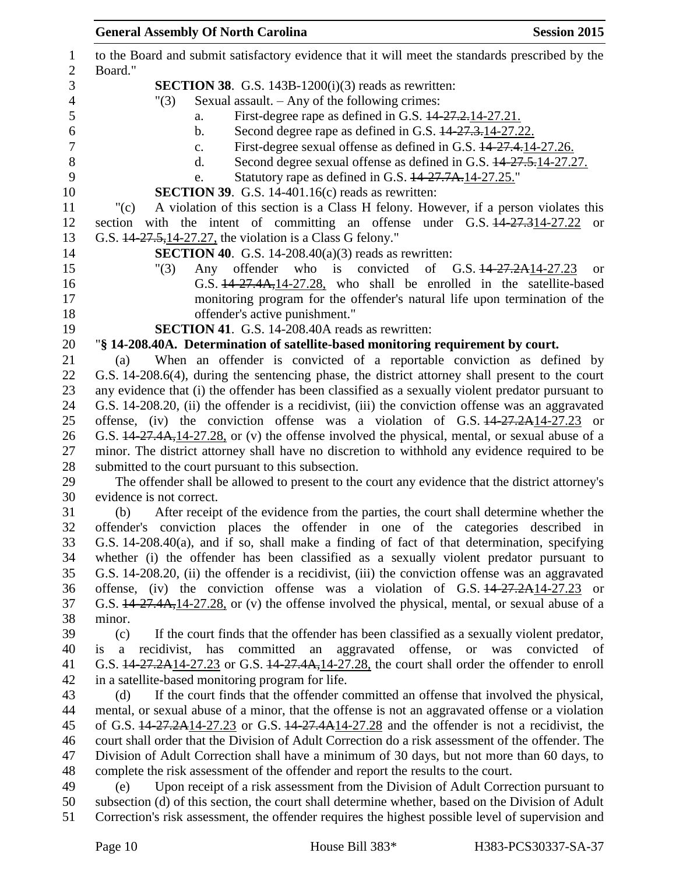|                                | <b>General Assembly Of North Carolina</b><br><b>Session 2015</b>                                                                                                                          |
|--------------------------------|-------------------------------------------------------------------------------------------------------------------------------------------------------------------------------------------|
| $\mathbf{1}$<br>$\overline{2}$ | to the Board and submit satisfactory evidence that it will meet the standards prescribed by the<br>Board."                                                                                |
| 3                              | <b>SECTION 38.</b> G.S. 143B-1200 $(i)(3)$ reads as rewritten:                                                                                                                            |
| $\overline{4}$                 | Sexual assault. - Any of the following crimes:<br>"(3)                                                                                                                                    |
| 5                              | First-degree rape as defined in G.S. 44-27.2.14-27.21.<br>a.                                                                                                                              |
| 6                              | Second degree rape as defined in G.S. $14-27.3-14-27.22$ .<br>b.                                                                                                                          |
| $\tau$                         | First-degree sexual offense as defined in G.S. $14-27.4$ , 14-27.26.<br>$\mathbf{c}$ .                                                                                                    |
| 8                              | Second degree sexual offense as defined in G.S. $14-27.5$ , 14-27.27.<br>d.                                                                                                               |
| 9                              | Statutory rape as defined in G.S. 14-27.7A.14-27.25."<br>e.                                                                                                                               |
| 10                             | <b>SECTION 39.</b> G.S. 14-401.16 $(c)$ reads as rewritten:                                                                                                                               |
| 11                             | A violation of this section is a Class H felony. However, if a person violates this<br>"(c)                                                                                               |
| 12                             | section with the intent of committing an offense under G.S. 14-27.314-27.22<br><sub>or</sub>                                                                                              |
| 13                             | G.S. 14-27.5, 14-27.27, the violation is a Class G felony."                                                                                                                               |
| 14                             | <b>SECTION 40.</b> G.S. 14-208.40(a)(3) reads as rewritten:                                                                                                                               |
| 15                             | Any offender who is convicted<br>of G.S. $14-27.2A14-27.23$<br>"(3)<br><b>or</b>                                                                                                          |
| 16                             | G.S. 44-27.4A, 14-27.28, who shall be enrolled in the satellite-based                                                                                                                     |
| 17                             | monitoring program for the offender's natural life upon termination of the                                                                                                                |
| 18                             | offender's active punishment."                                                                                                                                                            |
| 19                             | <b>SECTION 41.</b> G.S. 14-208.40A reads as rewritten:                                                                                                                                    |
| 20                             | "§ 14-208.40A. Determination of satellite-based monitoring requirement by court.                                                                                                          |
| 21                             | When an offender is convicted of a reportable conviction as defined by<br>(a)                                                                                                             |
| 22                             | G.S. 14-208.6(4), during the sentencing phase, the district attorney shall present to the court                                                                                           |
| 23                             | any evidence that (i) the offender has been classified as a sexually violent predator pursuant to                                                                                         |
| 24                             | G.S. 14-208.20, (ii) the offender is a recidivist, (iii) the conviction offense was an aggravated                                                                                         |
| 25                             | offense, (iv) the conviction offense was a violation of G.S. $14-27.2A14-27.23$ or                                                                                                        |
| 26                             | G.S. 44-27.4A, 14-27.28, or (v) the offense involved the physical, mental, or sexual abuse of a                                                                                           |
| 27                             | minor. The district attorney shall have no discretion to withhold any evidence required to be                                                                                             |
| 28                             | submitted to the court pursuant to this subsection.                                                                                                                                       |
| 29                             | The offender shall be allowed to present to the court any evidence that the district attorney's                                                                                           |
| 30                             | evidence is not correct.                                                                                                                                                                  |
| 31                             | After receipt of the evidence from the parties, the court shall determine whether the<br>(b)                                                                                              |
| 32                             | offender's conviction places the offender in one of the categories described in                                                                                                           |
| 33                             | G.S. 14-208.40(a), and if so, shall make a finding of fact of that determination, specifying                                                                                              |
| 34                             | whether (i) the offender has been classified as a sexually violent predator pursuant to                                                                                                   |
| 35                             | G.S. 14-208.20, (ii) the offender is a recidivist, (iii) the conviction offense was an aggravated                                                                                         |
| 36                             | offense, (iv) the conviction offense was a violation of G.S. $14-27.2A14-27.23$ or                                                                                                        |
| 37                             | G.S. 14-27.4A, 14-27.28, or (v) the offense involved the physical, mental, or sexual abuse of a<br>minor.                                                                                 |
| 38<br>39                       | (c)                                                                                                                                                                                       |
| 40                             | If the court finds that the offender has been classified as a sexually violent predator,<br>recidivist, has committed an aggravated offense, or was<br>convicted of<br>$\mathbf{a}$<br>is |
| 41                             | G.S. 14-27.2A14-27.23 or G.S. 14-27.4A, 14-27.28, the court shall order the offender to enroll                                                                                            |
| 42                             | in a satellite-based monitoring program for life.                                                                                                                                         |
| 43                             | If the court finds that the offender committed an offense that involved the physical,<br>(d)                                                                                              |
| 44                             | mental, or sexual abuse of a minor, that the offense is not an aggravated offense or a violation                                                                                          |
| 45                             | of G.S. $14-27.2A14-27.23$ or G.S. $14-27.4A14-27.28$ and the offender is not a recidivist, the                                                                                           |
| 46                             | court shall order that the Division of Adult Correction do a risk assessment of the offender. The                                                                                         |
| 47                             | Division of Adult Correction shall have a minimum of 30 days, but not more than 60 days, to                                                                                               |
| 48                             | complete the risk assessment of the offender and report the results to the court.                                                                                                         |
| 49                             | Upon receipt of a risk assessment from the Division of Adult Correction pursuant to<br>(e)                                                                                                |
| 50                             | subsection (d) of this section, the court shall determine whether, based on the Division of Adult                                                                                         |
| 51                             | Correction's risk assessment, the offender requires the highest possible level of supervision and                                                                                         |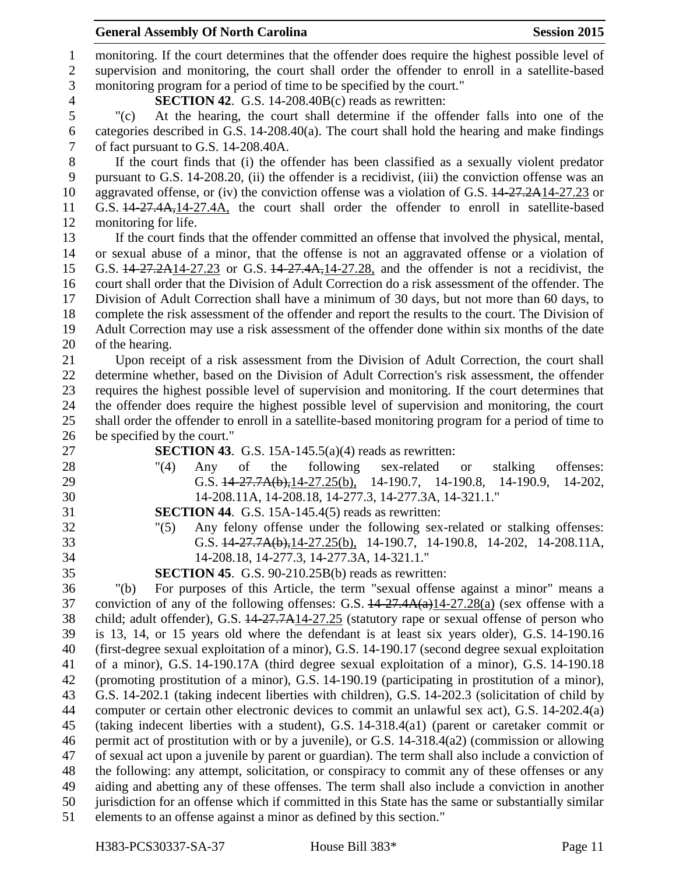## **General Assembly Of North Carolina Session 2015**

 monitoring. If the court determines that the offender does require the highest possible level of supervision and monitoring, the court shall order the offender to enroll in a satellite-based monitoring program for a period of time to be specified by the court." **SECTION 42**. G.S. 14-208.40B(c) reads as rewritten: "(c) At the hearing, the court shall determine if the offender falls into one of the categories described in G.S. 14-208.40(a). The court shall hold the hearing and make findings of fact pursuant to G.S. 14-208.40A. If the court finds that (i) the offender has been classified as a sexually violent predator pursuant to G.S. 14-208.20, (ii) the offender is a recidivist, (iii) the conviction offense was an 10 aggravated offense, or (iv) the conviction offense was a violation of G.S.  $14-27.2A14-27.23$  or G.S. 14-27.4A,14-27.4A, the court shall order the offender to enroll in satellite-based monitoring for life. If the court finds that the offender committed an offense that involved the physical, mental, or sexual abuse of a minor, that the offense is not an aggravated offense or a violation of G.S. 14-27.2A14-27.23 or G.S. 14-27.4A,14-27.28, and the offender is not a recidivist, the court shall order that the Division of Adult Correction do a risk assessment of the offender. The Division of Adult Correction shall have a minimum of 30 days, but not more than 60 days, to complete the risk assessment of the offender and report the results to the court. The Division of Adult Correction may use a risk assessment of the offender done within six months of the date of the hearing. Upon receipt of a risk assessment from the Division of Adult Correction, the court shall determine whether, based on the Division of Adult Correction's risk assessment, the offender requires the highest possible level of supervision and monitoring. If the court determines that the offender does require the highest possible level of supervision and monitoring, the court shall order the offender to enroll in a satellite-based monitoring program for a period of time to be specified by the court." **SECTION 43**. G.S. 15A-145.5(a)(4) reads as rewritten: "(4) Any of the following sex-related or stalking offenses: G.S. 14-27.7A(b),14-27.25(b), 14-190.7, 14-190.8, 14-190.9, 14-202, 14-208.11A, 14-208.18, 14-277.3, 14-277.3A, 14-321.1." **SECTION 44**. G.S. 15A-145.4(5) reads as rewritten: "(5) Any felony offense under the following sex-related or stalking offenses: G.S. 14-27.7A(b),14-27.25(b), 14-190.7, 14-190.8, 14-202, 14-208.11A, 14-208.18, 14-277.3, 14-277.3A, 14-321.1." **SECTION 45**. G.S. 90-210.25B(b) reads as rewritten: "(b) For purposes of this Article, the term "sexual offense against a minor" means a 37 conviction of any of the following offenses: G.S.  $\frac{14-27.4A(a)}{14-27.28(a)}$  (sex offense with a child; adult offender), G.S. 14-27.7A14-27.25 (statutory rape or sexual offense of person who is 13, 14, or 15 years old where the defendant is at least six years older), G.S. 14-190.16 (first-degree sexual exploitation of a minor), G.S. 14-190.17 (second degree sexual exploitation of a minor), G.S. 14-190.17A (third degree sexual exploitation of a minor), G.S. 14-190.18 (promoting prostitution of a minor), G.S. 14-190.19 (participating in prostitution of a minor), G.S. 14-202.1 (taking indecent liberties with children), G.S. 14-202.3 (solicitation of child by computer or certain other electronic devices to commit an unlawful sex act), G.S. 14-202.4(a) (taking indecent liberties with a student), G.S. 14-318.4(a1) (parent or caretaker commit or permit act of prostitution with or by a juvenile), or G.S. 14-318.4(a2) (commission or allowing of sexual act upon a juvenile by parent or guardian). The term shall also include a conviction of the following: any attempt, solicitation, or conspiracy to commit any of these offenses or any aiding and abetting any of these offenses. The term shall also include a conviction in another jurisdiction for an offense which if committed in this State has the same or substantially similar elements to an offense against a minor as defined by this section."